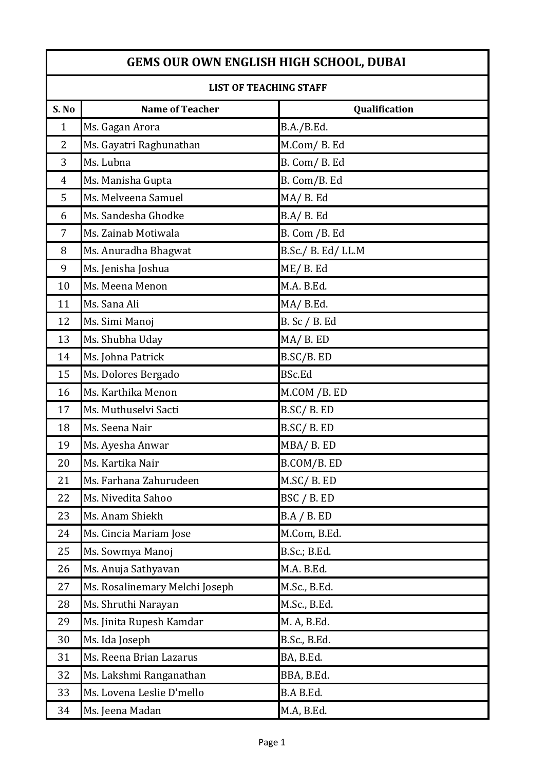| LIST OF TEACHING STAFF |                                |                    |
|------------------------|--------------------------------|--------------------|
| S. No                  | <b>Name of Teacher</b>         | Qualification      |
| $\mathbf{1}$           | Ms. Gagan Arora                | B.A./B.Ed.         |
| $\overline{2}$         | Ms. Gayatri Raghunathan        | M.Com/B.Ed         |
| 3                      | Ms. Lubna                      | B. Com/B. Ed       |
| $\overline{4}$         | Ms. Manisha Gupta              | B. Com/B. Ed       |
| 5                      | Ms. Melveena Samuel            | MA/B.Ed            |
| 6                      | Ms. Sandesha Ghodke            | B.A/B. Ed          |
| 7                      | Ms. Zainab Motiwala            | B. Com / B. Ed     |
| 8                      | Ms. Anuradha Bhagwat           | B.Sc./ B. Ed/ LL.M |
| 9                      | Ms. Jenisha Joshua             | ME/ B. Ed          |
| 10                     | Ms. Meena Menon                | M.A. B.Ed.         |
| 11                     | Ms. Sana Ali                   | MA/B.Ed.           |
| 12                     | Ms. Simi Manoj                 | B. Sc / B. Ed      |
| 13                     | Ms. Shubha Uday                | MA/ B. ED          |
| 14                     | Ms. Johna Patrick              | B.SC/B. ED         |
| 15                     | Ms. Dolores Bergado            | <b>BSc.Ed</b>      |
| 16                     | Ms. Karthika Menon             | M.COM / B. ED      |
| 17                     | Ms. Muthuselvi Sacti           | B.SC/B. ED         |
| 18                     | Ms. Seena Nair                 | B.SC/B. ED         |
| 19                     | Ms. Ayesha Anwar               | MBA/B.ED           |
| 20                     | Ms. Kartika Nair               | B.COM/B.ED         |
| 21                     | Ms. Farhana Zahurudeen         | M.SC/B.ED          |
| 22                     | Ms. Nivedita Sahoo             | BSC / B. ED        |
| 23                     | Ms. Anam Shiekh                | BA / B. ED         |
| 24                     | Ms. Cincia Mariam Jose         | M.Com, B.Ed.       |
| 25                     | Ms. Sowmya Manoj               | B.Sc.; B.Ed.       |
| 26                     | Ms. Anuja Sathyavan            | M.A. B.Ed.         |
| 27                     | Ms. Rosalinemary Melchi Joseph | M.Sc., B.Ed.       |
| 28                     | Ms. Shruthi Narayan            | M.Sc., B.Ed.       |
| 29                     | Ms. Jinita Rupesh Kamdar       | M. A, B.Ed.        |
| 30                     | Ms. Ida Joseph                 | B.Sc., B.Ed.       |
| 31                     | Ms. Reena Brian Lazarus        | BA, B.Ed.          |
| 32                     | Ms. Lakshmi Ranganathan        | BBA, B.Ed.         |
| 33                     | Ms. Lovena Leslie D'mello      | B.A B.Ed.          |
| 34                     | Ms. Jeena Madan                | M.A, B.Ed.         |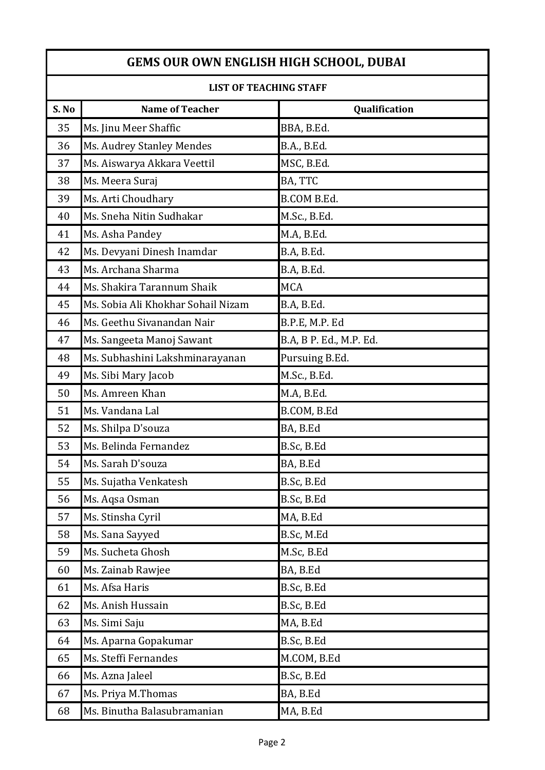| LIST OF TEACHING STAFF |                                    |                         |
|------------------------|------------------------------------|-------------------------|
| S. No                  | <b>Name of Teacher</b>             | Qualification           |
| 35                     | Ms. Jinu Meer Shaffic              | BBA, B.Ed.              |
| 36                     | Ms. Audrey Stanley Mendes          | B.A., B.Ed.             |
| 37                     | Ms. Aiswarya Akkara Veettil        | MSC, B.Ed.              |
| 38                     | Ms. Meera Suraj                    | BA, TTC                 |
| 39                     | Ms. Arti Choudhary                 | <b>B.COM B.Ed.</b>      |
| 40                     | Ms. Sneha Nitin Sudhakar           | M.Sc., B.Ed.            |
| 41                     | Ms. Asha Pandey                    | M.A, B.Ed.              |
| 42                     | Ms. Devyani Dinesh Inamdar         | B.A, B.Ed.              |
| 43                     | Ms. Archana Sharma                 | B.A, B.Ed.              |
| 44                     | Ms. Shakira Tarannum Shaik         | <b>MCA</b>              |
| 45                     | Ms. Sobia Ali Khokhar Sohail Nizam | B.A, B.Ed.              |
| 46                     | Ms. Geethu Sivanandan Nair         | B.P.E, M.P. Ed          |
| 47                     | Ms. Sangeeta Manoj Sawant          | B.A, B P. Ed., M.P. Ed. |
| 48                     | Ms. Subhashini Lakshminarayanan    | Pursuing B.Ed.          |
| 49                     | Ms. Sibi Mary Jacob                | M.Sc., B.Ed.            |
| 50                     | Ms. Amreen Khan                    | M.A, B.Ed.              |
| 51                     | Ms. Vandana Lal                    | B.COM, B.Ed             |
| 52                     | Ms. Shilpa D'souza                 | BA, B.Ed                |
| 53                     | Ms. Belinda Fernandez              | B.Sc, B.Ed              |
| 54                     | Ms. Sarah D'souza                  | BA, B.Ed                |
| 55                     | Ms. Sujatha Venkatesh              | B.Sc, B.Ed              |
| 56                     | Ms. Aqsa Osman                     | B.Sc, B.Ed              |
| 57                     | Ms. Stinsha Cyril                  | MA, B.Ed                |
| 58                     | Ms. Sana Sayyed                    | B.Sc, M.Ed              |
| 59                     | Ms. Sucheta Ghosh                  | M.Sc, B.Ed              |
| 60                     | Ms. Zainab Rawjee                  | BA, B.Ed                |
| 61                     | Ms. Afsa Haris                     | B.Sc, B.Ed              |
| 62                     | Ms. Anish Hussain                  | B.Sc, B.Ed              |
| 63                     | Ms. Simi Saju                      | MA, B.Ed                |
| 64                     | Ms. Aparna Gopakumar               | B.Sc, B.Ed              |
| 65                     | Ms. Steffi Fernandes               | M.COM, B.Ed             |
| 66                     | Ms. Azna Jaleel                    | B.Sc, B.Ed              |
| 67                     | Ms. Priya M.Thomas                 | BA, B.Ed                |
| 68                     | Ms. Binutha Balasubramanian        | MA, B.Ed                |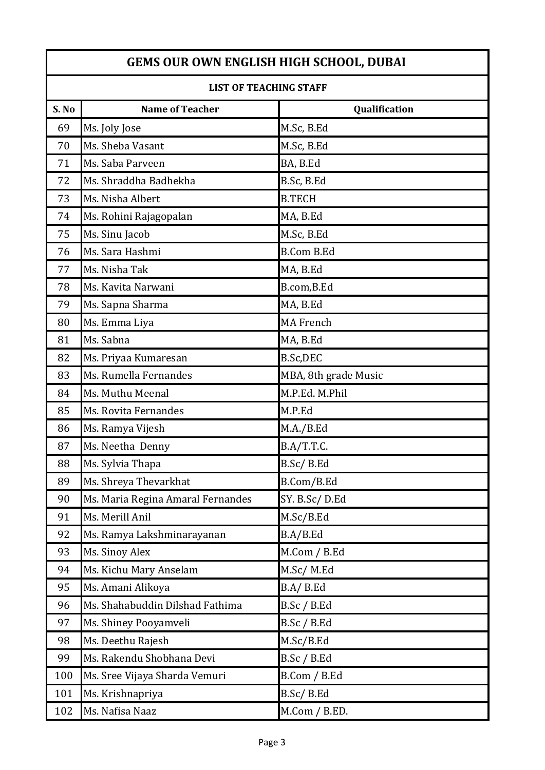| LISI UF TEALHING STAFF |                                   |                      |
|------------------------|-----------------------------------|----------------------|
| S. No                  | <b>Name of Teacher</b>            | Qualification        |
| 69                     | Ms. Joly Jose                     | M.Sc, B.Ed           |
| 70                     | Ms. Sheba Vasant                  | M.Sc, B.Ed           |
| 71                     | Ms. Saba Parveen                  | BA, B.Ed             |
| 72                     | Ms. Shraddha Badhekha             | B.Sc, B.Ed           |
| 73                     | Ms. Nisha Albert                  | <b>B.TECH</b>        |
| 74                     | Ms. Rohini Rajagopalan            | MA, B.Ed             |
| 75                     | Ms. Sinu Jacob                    | M.Sc, B.Ed           |
| 76                     | Ms. Sara Hashmi                   | <b>B.Com B.Ed</b>    |
| 77                     | Ms. Nisha Tak                     | MA, B.Ed             |
| 78                     | Ms. Kavita Narwani                | B.com, B.Ed          |
| 79                     | Ms. Sapna Sharma                  | MA, B.Ed             |
| 80                     | Ms. Emma Liya                     | <b>MA French</b>     |
| 81                     | Ms. Sabna                         | MA, B.Ed             |
| 82                     | Ms. Priyaa Kumaresan              | B.Sc,DEC             |
| 83                     | Ms. Rumella Fernandes             | MBA, 8th grade Music |
| 84                     | Ms. Muthu Meenal                  | M.P.Ed. M.Phil       |
| 85                     | Ms. Rovita Fernandes              | M.P.Ed               |
| 86                     | Ms. Ramya Vijesh                  | M.A./B.Ed            |
| 87                     | Ms. Neetha Denny                  | B.A/T.T.C.           |
| 88                     | Ms. Sylvia Thapa                  | B.Sc/B.Ed            |
| 89                     | Ms. Shreya Thevarkhat             | B.Com/B.Ed           |
| 90                     | Ms. Maria Regina Amaral Fernandes | SY. B.Sc/D.Ed        |
| 91                     | Ms. Merill Anil                   | M.Sc/B.Ed            |
| 92                     | Ms. Ramya Lakshminarayanan        | B.A/B.Ed             |
| 93                     | Ms. Sinoy Alex                    | M.Com / B.Ed         |
| 94                     | Ms. Kichu Mary Anselam            | M.Sc/M.Ed            |
| 95                     | Ms. Amani Alikoya                 | B.A/ B.Ed            |
| 96                     | Ms. Shahabuddin Dilshad Fathima   | B.Sc / B.Ed          |
| 97                     | Ms. Shiney Pooyamveli             | B.Sc / B.Ed          |
| 98                     | Ms. Deethu Rajesh                 | M.Sc/B.Ed            |
| 99                     | Ms. Rakendu Shobhana Devi         | B.Sc / B.Ed          |
| 100                    | Ms. Sree Vijaya Sharda Vemuri     | B.Com / B.Ed         |
| 101                    | Ms. Krishnapriya                  | B.Sc/B.Ed            |
| 102                    | Ms. Nafisa Naaz                   | M.Com / B.ED.        |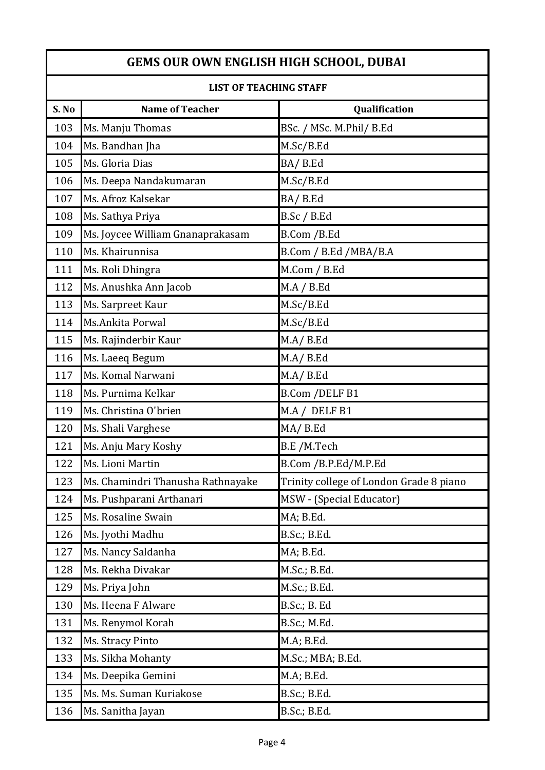| LIST OF TEACHING STAFF |                                   |                                         |
|------------------------|-----------------------------------|-----------------------------------------|
| S. No                  | <b>Name of Teacher</b>            | Qualification                           |
| 103                    | Ms. Manju Thomas                  | BSc. / MSc. M.Phil/ B.Ed                |
| 104                    | Ms. Bandhan Jha                   | M.Sc/B.Ed                               |
| 105                    | Ms. Gloria Dias                   | BA/B.Ed                                 |
| 106                    | Ms. Deepa Nandakumaran            | M.Sc/B.Ed                               |
| 107                    | Ms. Afroz Kalsekar                | BA/B.Ed                                 |
| 108                    | Ms. Sathya Priya                  | B.Sc / B.Ed                             |
| 109                    | Ms. Joycee William Gnanaprakasam  | B.Com / B.Ed                            |
| 110                    | Ms. Khairunnisa                   | B.Com / B.Ed /MBA/B.A                   |
| 111                    | Ms. Roli Dhingra                  | M.Com / B.Ed                            |
| 112                    | Ms. Anushka Ann Jacob             | MA / B.Ed                               |
| 113                    | Ms. Sarpreet Kaur                 | M.Sc/B.Ed                               |
| 114                    | Ms.Ankita Porwal                  | M.Sc/B.Ed                               |
| 115                    | Ms. Rajinderbir Kaur              | M.A/B.Ed                                |
| 116                    | Ms. Laeeq Begum                   | M.A/B.Ed                                |
| 117                    | Ms. Komal Narwani                 | M.A/ B.Ed                               |
| 118                    | Ms. Purnima Kelkar                | B.Com / DELF B1                         |
| 119                    | Ms. Christina O'brien             | M.A / DELF B1                           |
| 120                    | Ms. Shali Varghese                | MA/B.Ed                                 |
| 121                    | Ms. Anju Mary Koshy               | B.E /M.Tech                             |
| 122                    | Ms. Lioni Martin                  | B.Com / B.P.Ed/M.P.Ed                   |
| 123                    | Ms. Chamindri Thanusha Rathnayake | Trinity college of London Grade 8 piano |
| 124                    | Ms. Pushparani Arthanari          | MSW - (Special Educator)                |
| 125                    | Ms. Rosaline Swain                | MA; B.Ed.                               |
| 126                    | Ms. Jyothi Madhu                  | B.Sc.; B.Ed.                            |
| 127                    | Ms. Nancy Saldanha                | MA; B.Ed.                               |
| 128                    | Ms. Rekha Divakar                 | M.Sc.; B.Ed.                            |
| 129                    | Ms. Priya John                    | M.Sc.; B.Ed.                            |
| 130                    | Ms. Heena F Alware                | B.Sc.; B. Ed                            |
| 131                    | Ms. Renymol Korah                 | B.Sc.; M.Ed.                            |
| 132                    | Ms. Stracy Pinto                  | M.A; B.Ed.                              |
| 133                    | Ms. Sikha Mohanty                 | M.Sc.; MBA; B.Ed.                       |
| 134                    | Ms. Deepika Gemini                | M.A; B.Ed.                              |
| 135                    | Ms. Ms. Suman Kuriakose           | B.Sc.; B.Ed.                            |
| 136                    | Ms. Sanitha Jayan                 | B.Sc.; B.Ed.                            |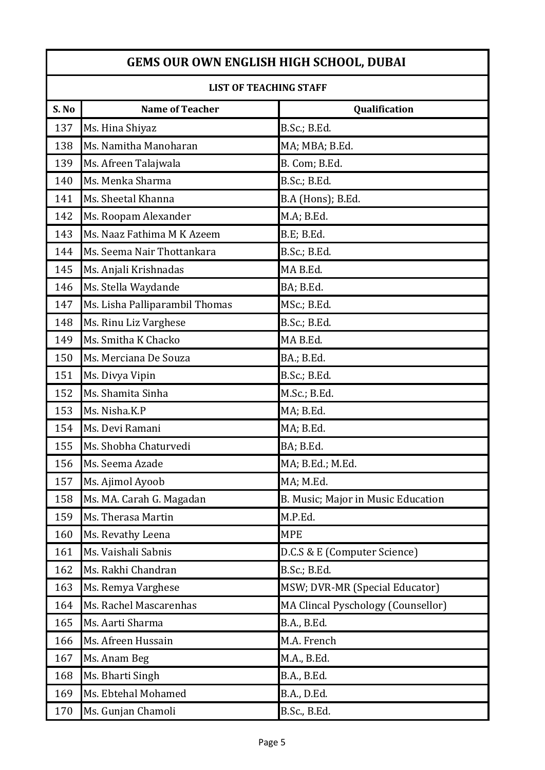| LISI UF TEAUNING STAFF |                                |                                    |
|------------------------|--------------------------------|------------------------------------|
| S. No                  | <b>Name of Teacher</b>         | Qualification                      |
| 137                    | Ms. Hina Shiyaz                | B.Sc.; B.Ed.                       |
| 138                    | Ms. Namitha Manoharan          | MA; MBA; B.Ed.                     |
| 139                    | Ms. Afreen Talajwala           | B. Com; B.Ed.                      |
| 140                    | Ms. Menka Sharma               | B.Sc.; B.Ed.                       |
| 141                    | Ms. Sheetal Khanna             | B.A (Hons); B.Ed.                  |
| 142                    | Ms. Roopam Alexander           | M.A; B.Ed.                         |
| 143                    | Ms. Naaz Fathima M K Azeem     | B.E; B.Ed.                         |
| 144                    | Ms. Seema Nair Thottankara     | B.Sc.; B.Ed.                       |
| 145                    | Ms. Anjali Krishnadas          | MAB.Ed.                            |
| 146                    | Ms. Stella Waydande            | BA; B.Ed.                          |
| 147                    | Ms. Lisha Palliparambil Thomas | MSc.; B.Ed.                        |
| 148                    | Ms. Rinu Liz Varghese          | B.Sc.; B.Ed.                       |
| 149                    | Ms. Smitha K Chacko            | MAB.Ed.                            |
| 150                    | Ms. Merciana De Souza          | BA.; B.Ed.                         |
| 151                    | Ms. Divya Vipin                | B.Sc.; B.Ed.                       |
| 152                    | Ms. Shamita Sinha              | M.Sc.; B.Ed.                       |
| 153                    | Ms. Nisha.K.P                  | MA; B.Ed.                          |
| 154                    | Ms. Devi Ramani                | MA; B.Ed.                          |
| 155                    | Ms. Shobha Chaturvedi          | BA; B.Ed.                          |
| 156                    | Ms. Seema Azade                | MA; B.Ed.; M.Ed.                   |
| 157                    | Ms. Ajimol Ayoob               | MA; M.Ed.                          |
| 158                    | Ms. MA. Carah G. Magadan       | B. Music; Major in Music Education |
| 159                    | Ms. Therasa Martin             | M.P.Ed.                            |
| 160                    | Ms. Revathy Leena              | <b>MPE</b>                         |
| 161                    | Ms. Vaishali Sabnis            | D.C.S & E (Computer Science)       |
| 162                    | Ms. Rakhi Chandran             | B.Sc.; B.Ed.                       |
| 163                    | Ms. Remya Varghese             | MSW; DVR-MR (Special Educator)     |
| 164                    | Ms. Rachel Mascarenhas         | MA Clincal Pyschology (Counsellor) |
| 165                    | Ms. Aarti Sharma               | B.A., B.Ed.                        |
| 166                    | Ms. Afreen Hussain             | M.A. French                        |
| 167                    | Ms. Anam Beg                   | M.A., B.Ed.                        |
| 168                    | Ms. Bharti Singh               | B.A., B.Ed.                        |
| 169                    | Ms. Ebtehal Mohamed            | B.A., D.Ed.                        |
| 170                    | Ms. Gunjan Chamoli             | B.Sc., B.Ed.                       |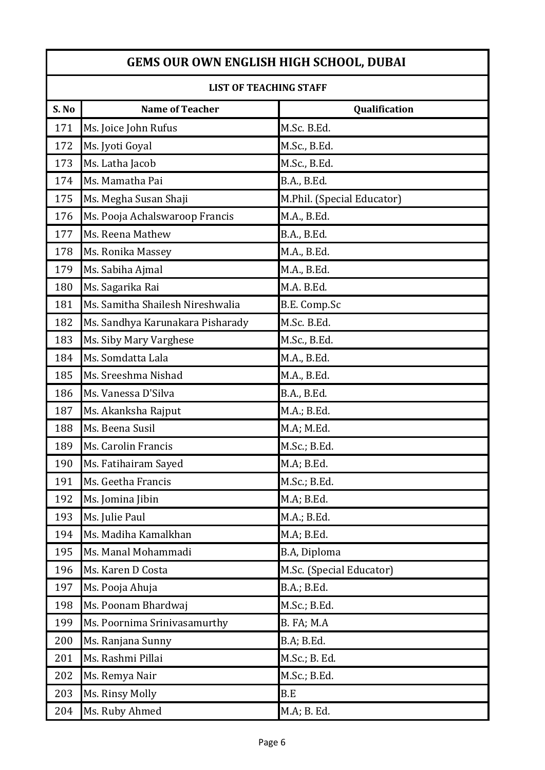| LIST OF TEACHING STAFF |                                  |                            |
|------------------------|----------------------------------|----------------------------|
| S. No                  | <b>Name of Teacher</b>           | Qualification              |
| 171                    | Ms. Joice John Rufus             | M.Sc. B.Ed.                |
| 172                    | Ms. Jyoti Goyal                  | M.Sc., B.Ed.               |
| 173                    | Ms. Latha Jacob                  | M.Sc., B.Ed.               |
| 174                    | Ms. Mamatha Pai                  | B.A., B.Ed.                |
| 175                    | Ms. Megha Susan Shaji            | M.Phil. (Special Educator) |
| 176                    | Ms. Pooja Achalswaroop Francis   | M.A., B.Ed.                |
| 177                    | Ms. Reena Mathew                 | B.A., B.Ed.                |
| 178                    | Ms. Ronika Massey                | M.A., B.Ed.                |
| 179                    | Ms. Sabiha Ajmal                 | M.A., B.Ed.                |
| 180                    | Ms. Sagarika Rai                 | M.A. B.Ed.                 |
| 181                    | Ms. Samitha Shailesh Nireshwalia | B.E. Comp.Sc               |
| 182                    | Ms. Sandhya Karunakara Pisharady | M.Sc. B.Ed.                |
| 183                    | Ms. Siby Mary Varghese           | M.Sc., B.Ed.               |
| 184                    | Ms. Somdatta Lala                | M.A., B.Ed.                |
| 185                    | Ms. Sreeshma Nishad              | M.A., B.Ed.                |
| 186                    | Ms. Vanessa D'Silva              | B.A., B.Ed.                |
| 187                    | Ms. Akanksha Rajput              | M.A.; B.Ed.                |
| 188                    | Ms. Beena Susil                  | M.A; M.Ed.                 |
| 189                    | Ms. Carolin Francis              | M.Sc.; B.Ed.               |
| 190                    | Ms. Fatihairam Sayed             | M.A; B.Ed.                 |
| 191                    | Ms. Geetha Francis               | M.Sc.; B.Ed.               |
| 192                    | Ms. Jomina Jibin                 | M.A; B.Ed.                 |
| 193                    | Ms. Julie Paul                   | M.A.; B.Ed.                |
| 194                    | Ms. Madiha Kamalkhan             | M.A; B.Ed.                 |
| 195                    | Ms. Manal Mohammadi              | B.A, Diploma               |
| 196                    | Ms. Karen D Costa                | M.Sc. (Special Educator)   |
| 197                    | Ms. Pooja Ahuja                  | B.A.; B.Ed.                |
| 198                    | Ms. Poonam Bhardwaj              | M.Sc.; B.Ed.               |
| 199                    | Ms. Poornima Srinivasamurthy     | B. FA; M.A                 |
| 200                    | Ms. Ranjana Sunny                | B.A; B.Ed.                 |
| 201                    | Ms. Rashmi Pillai                | M.Sc.; B. Ed.              |
| 202                    | Ms. Remya Nair                   | M.Sc.; B.Ed.               |
| 203                    | Ms. Rinsy Molly                  | B.E                        |
| 204                    | Ms. Ruby Ahmed                   | M.A; B. Ed.                |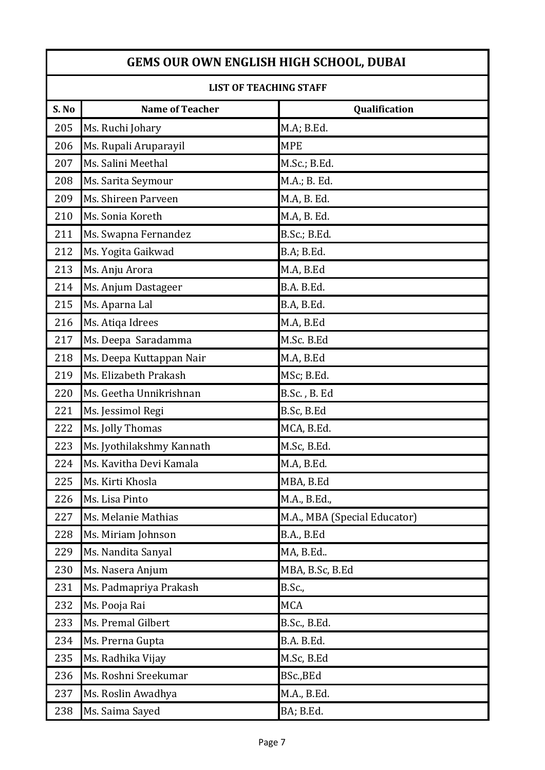| LISI UF TEACHING STAFF |                           |                              |
|------------------------|---------------------------|------------------------------|
| S. No                  | <b>Name of Teacher</b>    | Qualification                |
| 205                    | Ms. Ruchi Johary          | M.A; B.Ed.                   |
| 206                    | Ms. Rupali Aruparayil     | <b>MPE</b>                   |
| 207                    | Ms. Salini Meethal        | M.Sc.; B.Ed.                 |
| 208                    | Ms. Sarita Seymour        | M.A.; B. Ed.                 |
| 209                    | Ms. Shireen Parveen       | M.A, B. Ed.                  |
| 210                    | Ms. Sonia Koreth          | M.A, B. Ed.                  |
| 211                    | Ms. Swapna Fernandez      | B.Sc.; B.Ed.                 |
| 212                    | Ms. Yogita Gaikwad        | B.A; B.Ed.                   |
| 213                    | Ms. Anju Arora            | M.A, B.Ed                    |
| 214                    | Ms. Anjum Dastageer       | B.A. B.Ed.                   |
| 215                    | Ms. Aparna Lal            | B.A, B.Ed.                   |
| 216                    | Ms. Atiqa Idrees          | M.A, B.Ed                    |
| 217                    | Ms. Deepa Saradamma       | M.Sc. B.Ed                   |
| 218                    | Ms. Deepa Kuttappan Nair  | M.A, B.Ed                    |
| 219                    | Ms. Elizabeth Prakash     | MSc; B.Ed.                   |
| 220                    | Ms. Geetha Unnikrishnan   | B.Sc., B. Ed                 |
| 221                    | Ms. Jessimol Regi         | B.Sc, B.Ed                   |
| 222                    | Ms. Jolly Thomas          | MCA, B.Ed.                   |
| 223                    | Ms. Jyothilakshmy Kannath | M.Sc, B.Ed.                  |
| 224                    | Ms. Kavitha Devi Kamala   | M.A, B.Ed.                   |
| 225                    | Ms. Kirti Khosla          | MBA, B.Ed                    |
| 226                    | Ms. Lisa Pinto            | M.A., B.Ed.,                 |
| 227                    | Ms. Melanie Mathias       | M.A., MBA (Special Educator) |
| 228                    | Ms. Miriam Johnson        | B.A., B.Ed                   |
| 229                    | Ms. Nandita Sanyal        | MA, B.Ed                     |
| 230                    | Ms. Nasera Anjum          | MBA, B.Sc, B.Ed              |
| 231                    | Ms. Padmapriya Prakash    | <b>B.Sc.,</b>                |
| 232                    | Ms. Pooja Rai             | <b>MCA</b>                   |
| 233                    | Ms. Premal Gilbert        | B.Sc., B.Ed.                 |
| 234                    | Ms. Prerna Gupta          | B.A. B.Ed.                   |
| 235                    | Ms. Radhika Vijay         | M.Sc, B.Ed                   |
| 236                    | Ms. Roshni Sreekumar      | BSc., BEd                    |
| 237                    | Ms. Roslin Awadhya        | M.A., B.Ed.                  |
| 238                    | Ms. Saima Sayed           | BA; B.Ed.                    |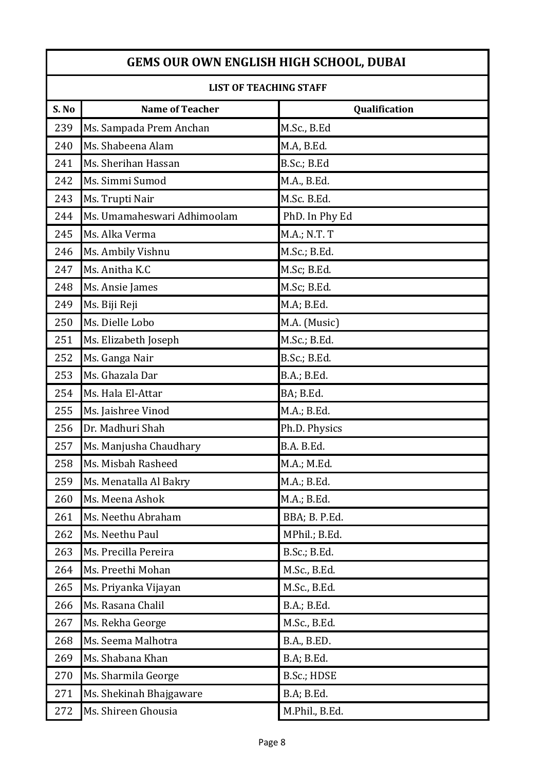| LISI UF TEAUNING STAFF |                             |                |
|------------------------|-----------------------------|----------------|
| S. No                  | <b>Name of Teacher</b>      | Qualification  |
| 239                    | Ms. Sampada Prem Anchan     | M.Sc., B.Ed    |
| 240                    | Ms. Shabeena Alam           | M.A, B.Ed.     |
| 241                    | Ms. Sherihan Hassan         | B.Sc.; B.Ed    |
| 242                    | Ms. Simmi Sumod             | M.A., B.Ed.    |
| 243                    | Ms. Trupti Nair             | M.Sc. B.Ed.    |
| 244                    | Ms. Umamaheswari Adhimoolam | PhD. In Phy Ed |
| 245                    | Ms. Alka Verma              | M.A.; N.T. T   |
| 246                    | Ms. Ambily Vishnu           | M.Sc.; B.Ed.   |
| 247                    | Ms. Anitha K.C              | M.Sc; B.Ed.    |
| 248                    | Ms. Ansie James             | M.Sc; B.Ed.    |
| 249                    | Ms. Biji Reji               | M.A; B.Ed.     |
| 250                    | Ms. Dielle Lobo             | M.A. (Music)   |
| 251                    | Ms. Elizabeth Joseph        | M.Sc.; B.Ed.   |
| 252                    | Ms. Ganga Nair              | B.Sc.; B.Ed.   |
| 253                    | Ms. Ghazala Dar             | B.A.; B.Ed.    |
| 254                    | Ms. Hala El-Attar           | BA; B.Ed.      |
| 255                    | Ms. Jaishree Vinod          | M.A.; B.Ed.    |
| 256                    | Dr. Madhuri Shah            | Ph.D. Physics  |
| 257                    | Ms. Manjusha Chaudhary      | B.A. B.Ed.     |
| 258                    | Ms. Misbah Rasheed          | M.A.; M.Ed.    |
| 259                    | Ms. Menatalla Al Bakry      | M.A.; B.Ed.    |
| 260                    | Ms. Meena Ashok             | M.A.; B.Ed.    |
| 261                    | Ms. Neethu Abraham          | BBA; B. P.Ed.  |
| 262                    | Ms. Neethu Paul             | MPhil.; B.Ed.  |
| 263                    | Ms. Precilla Pereira        | B.Sc.; B.Ed.   |
| 264                    | Ms. Preethi Mohan           | M.Sc., B.Ed.   |
| 265                    | Ms. Priyanka Vijayan        | M.Sc., B.Ed.   |
| 266                    | Ms. Rasana Chalil           | B.A.; B.Ed.    |
| 267                    | Ms. Rekha George            | M.Sc., B.Ed.   |
| 268                    | Ms. Seema Malhotra          | B.A., B.ED.    |
| 269                    | Ms. Shabana Khan            | B.A; B.Ed.     |
| 270                    | Ms. Sharmila George         | B.Sc.; HDSE    |
| 271                    | Ms. Shekinah Bhajgaware     | B.A; B.Ed.     |
| 272                    | Ms. Shireen Ghousia         | M.Phil., B.Ed. |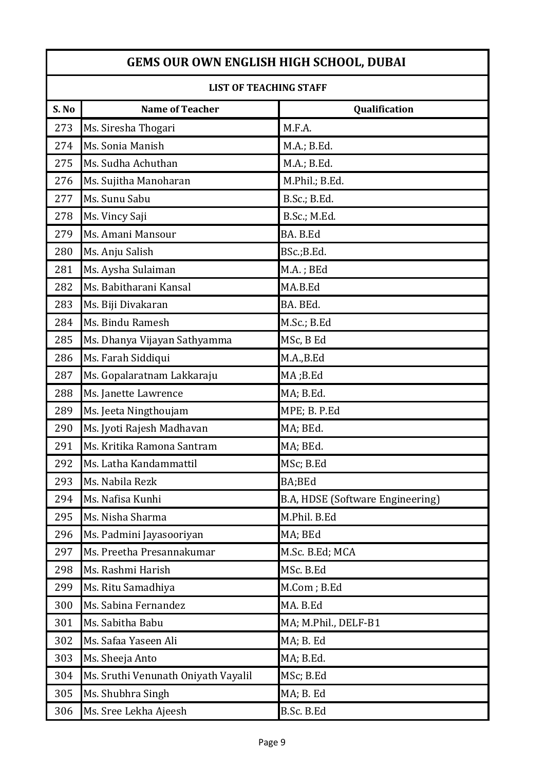| LIST OF TEACHING STAFF |                                     |                                         |
|------------------------|-------------------------------------|-----------------------------------------|
| S. No                  | <b>Name of Teacher</b>              | Qualification                           |
| 273                    | Ms. Siresha Thogari                 | M.F.A.                                  |
| 274                    | Ms. Sonia Manish                    | M.A.; B.Ed.                             |
| 275                    | Ms. Sudha Achuthan                  | M.A.; B.Ed.                             |
| 276                    | Ms. Sujitha Manoharan               | M.Phil.; B.Ed.                          |
| 277                    | Ms. Sunu Sabu                       | B.Sc.; B.Ed.                            |
| 278                    | Ms. Vincy Saji                      | B.Sc.; M.Ed.                            |
| 279                    | Ms. Amani Mansour                   | BA. B.Ed                                |
| 280                    | Ms. Anju Salish                     | BSc.;B.Ed.                              |
| 281                    | Ms. Aysha Sulaiman                  | M.A.; BEd                               |
| 282                    | Ms. Babitharani Kansal              | MA.B.Ed                                 |
| 283                    | Ms. Biji Divakaran                  | BA. BEd.                                |
| 284                    | Ms. Bindu Ramesh                    | M.Sc.; B.Ed                             |
| 285                    | Ms. Dhanya Vijayan Sathyamma        | MSc, B Ed                               |
| 286                    | Ms. Farah Siddiqui                  | M.A.,B.Ed                               |
| 287                    | Ms. Gopalaratnam Lakkaraju          | MA;B.Ed                                 |
| 288                    | Ms. Janette Lawrence                | MA; B.Ed.                               |
| 289                    | Ms. Jeeta Ningthoujam               | MPE; B. P.Ed                            |
| 290                    | Ms. Jyoti Rajesh Madhavan           | MA; BEd.                                |
| 291                    | Ms. Kritika Ramona Santram          | MA; BEd.                                |
| 292                    | Ms. Latha Kandammattil              | MSc; B.Ed                               |
| 293                    | Ms. Nabila Rezk                     | BA;BEd                                  |
| 294                    | Ms. Nafisa Kunhi                    | <b>B.A, HDSE (Software Engineering)</b> |
| 295                    | Ms. Nisha Sharma                    | M.Phil. B.Ed                            |
| 296                    | Ms. Padmini Jayasooriyan            | MA; BEd                                 |
| 297                    | Ms. Preetha Presannakumar           | M.Sc. B.Ed; MCA                         |
| 298                    | Ms. Rashmi Harish                   | MSc. B.Ed                               |
| 299                    | Ms. Ritu Samadhiya                  | M.Com; B.Ed                             |
| 300                    | Ms. Sabina Fernandez                | MA. B.Ed                                |
| 301                    | Ms. Sabitha Babu                    | MA; M.Phil., DELF-B1                    |
| 302                    | Ms. Safaa Yaseen Ali                | MA; B. Ed                               |
| 303                    | Ms. Sheeja Anto                     | MA; B.Ed.                               |
| 304                    | Ms. Sruthi Venunath Oniyath Vayalil | MSc; B.Ed                               |
| 305                    | Ms. Shubhra Singh                   | MA; B. Ed                               |
| 306                    | Ms. Sree Lekha Ajeesh               | B.Sc. B.Ed                              |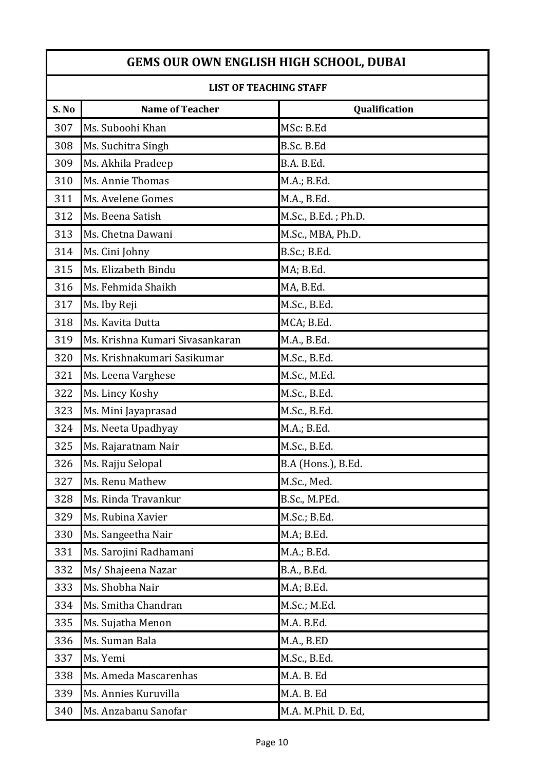| LISI OF TEACHING STAFF |                                 |                     |
|------------------------|---------------------------------|---------------------|
| S. No                  | <b>Name of Teacher</b>          | Qualification       |
| 307                    | Ms. Suboohi Khan                | MSc: B.Ed           |
| 308                    | Ms. Suchitra Singh              | B.Sc. B.Ed          |
| 309                    | Ms. Akhila Pradeep              | B.A. B.Ed.          |
| 310                    | Ms. Annie Thomas                | M.A.; B.Ed.         |
| 311                    | Ms. Avelene Gomes               | M.A., B.Ed.         |
| 312                    | Ms. Beena Satish                | M.Sc., B.Ed.; Ph.D. |
| 313                    | Ms. Chetna Dawani               | M.Sc., MBA, Ph.D.   |
| 314                    | Ms. Cini Johny                  | B.Sc.; B.Ed.        |
| 315                    | Ms. Elizabeth Bindu             | MA; B.Ed.           |
| 316                    | Ms. Fehmida Shaikh              | MA, B.Ed.           |
| 317                    | Ms. Iby Reji                    | M.Sc., B.Ed.        |
| 318                    | Ms. Kavita Dutta                | MCA; B.Ed.          |
| 319                    | Ms. Krishna Kumari Sivasankaran | M.A., B.Ed.         |
| 320                    | Ms. Krishnakumari Sasikumar     | M.Sc., B.Ed.        |
| 321                    | Ms. Leena Varghese              | M.Sc., M.Ed.        |
| 322                    | Ms. Lincy Koshy                 | M.Sc., B.Ed.        |
| 323                    | Ms. Mini Jayaprasad             | M.Sc., B.Ed.        |
| 324                    | Ms. Neeta Upadhyay              | M.A.; B.Ed.         |
| 325                    | Ms. Rajaratnam Nair             | M.Sc., B.Ed.        |
| 326                    | Ms. Rajju Selopal               | B.A (Hons.), B.Ed.  |
| 327                    | Ms. Renu Mathew                 | M.Sc., Med.         |
| 328                    | Ms. Rinda Travankur             | B.Sc., M.PEd.       |
| 329                    | Ms. Rubina Xavier               | M.Sc.; B.Ed.        |
| 330                    | Ms. Sangeetha Nair              | M.A; B.Ed.          |
| 331                    | Ms. Sarojini Radhamani          | M.A.; B.Ed.         |
| 332                    | Ms/ Shajeena Nazar              | B.A., B.Ed.         |
| 333                    | Ms. Shobha Nair                 | M.A; B.Ed.          |
| 334                    | Ms. Smitha Chandran             | M.Sc.; M.Ed.        |
| 335                    | Ms. Sujatha Menon               | M.A. B.Ed.          |
| 336                    | Ms. Suman Bala                  | M.A., B.ED          |
| 337                    | Ms. Yemi                        | M.Sc., B.Ed.        |
| 338                    | Ms. Ameda Mascarenhas           | M.A. B. Ed          |
| 339                    | Ms. Annies Kuruvilla            | M.A. B. Ed          |
| 340                    | Ms. Anzabanu Sanofar            | M.A. M.Phil. D. Ed, |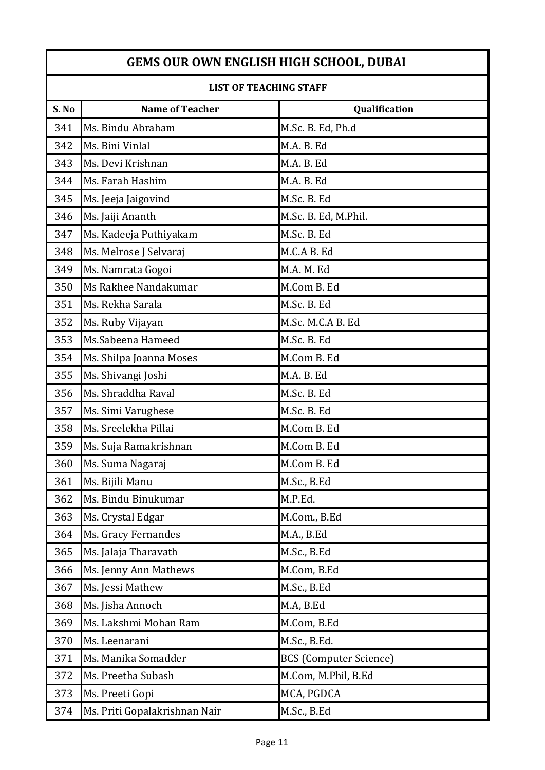| LIST OF TEACHING STAFF |                               |                               |
|------------------------|-------------------------------|-------------------------------|
| S. No                  | <b>Name of Teacher</b>        | Qualification                 |
| 341                    | Ms. Bindu Abraham             | M.Sc. B. Ed, Ph.d             |
| 342                    | Ms. Bini Vinlal               | M.A. B. Ed                    |
| 343                    | Ms. Devi Krishnan             | M.A. B. Ed                    |
| 344                    | Ms. Farah Hashim              | M.A. B. Ed                    |
| 345                    | Ms. Jeeja Jaigovind           | M.Sc. B. Ed                   |
| 346                    | Ms. Jaiji Ananth              | M.Sc. B. Ed, M.Phil.          |
| 347                    | Ms. Kadeeja Puthiyakam        | M.Sc. B. Ed                   |
| 348                    | Ms. Melrose J Selvaraj        | M.C.A B. Ed                   |
| 349                    | Ms. Namrata Gogoi             | M.A. M. Ed                    |
| 350                    | Ms Rakhee Nandakumar          | M.Com B. Ed                   |
| 351                    | Ms. Rekha Sarala              | M.Sc. B. Ed                   |
| 352                    | Ms. Ruby Vijayan              | M.Sc. M.C.A B. Ed             |
| 353                    | Ms.Sabeena Hameed             | M.Sc. B. Ed                   |
| 354                    | Ms. Shilpa Joanna Moses       | M.Com B. Ed                   |
| 355                    | Ms. Shivangi Joshi            | M.A. B. Ed                    |
| 356                    | Ms. Shraddha Raval            | M.Sc. B. Ed                   |
| 357                    | Ms. Simi Varughese            | M.Sc. B. Ed                   |
| 358                    | Ms. Sreelekha Pillai          | M.Com B. Ed                   |
| 359                    | Ms. Suja Ramakrishnan         | M.Com B. Ed                   |
| 360                    | Ms. Suma Nagaraj              | M.Com B. Ed                   |
| 361                    | Ms. Bijili Manu               | M.Sc., B.Ed                   |
| 362                    | Ms. Bindu Binukumar           | M.P.Ed.                       |
| 363                    | Ms. Crystal Edgar             | M.Com., B.Ed                  |
| 364                    | Ms. Gracy Fernandes           | M.A., B.Ed                    |
| 365                    | Ms. Jalaja Tharavath          | M.Sc., B.Ed                   |
| 366                    | Ms. Jenny Ann Mathews         | M.Com, B.Ed                   |
| 367                    | Ms. Jessi Mathew              | M.Sc., B.Ed                   |
| 368                    | Ms. Jisha Annoch              | M.A, B.Ed                     |
| 369                    | Ms. Lakshmi Mohan Ram         | M.Com, B.Ed                   |
| 370                    | Ms. Leenarani                 | M.Sc., B.Ed.                  |
| 371                    | Ms. Manika Somadder           | <b>BCS</b> (Computer Science) |
| 372                    | Ms. Preetha Subash            | M.Com, M.Phil, B.Ed           |
| 373                    | Ms. Preeti Gopi               | MCA, PGDCA                    |
| 374                    | Ms. Priti Gopalakrishnan Nair | M.Sc., B.Ed                   |